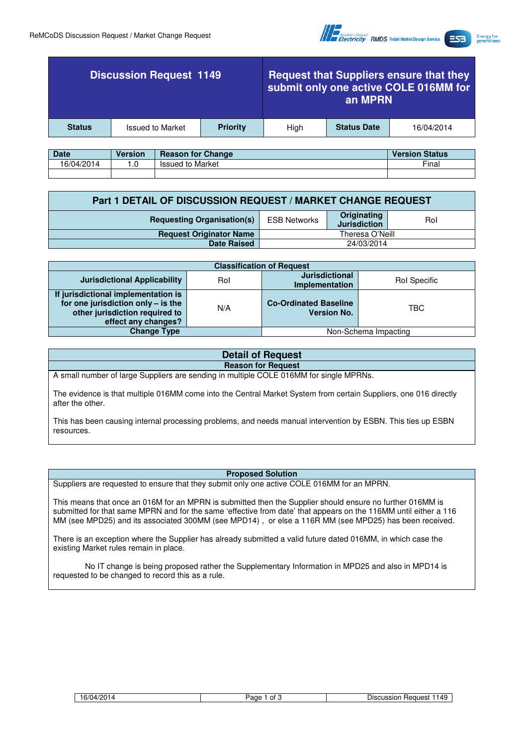

**Energy for**<br>generations

| <b>Discussion Request 1149</b> |                         | <b>Request that Suppliers ensure that they</b><br>submit only one active COLE 016MM for<br>an MPRN |      |                    |            |
|--------------------------------|-------------------------|----------------------------------------------------------------------------------------------------|------|--------------------|------------|
| <b>Status</b>                  | <b>Issued to Market</b> | <b>Priority</b>                                                                                    | Hiah | <b>Status Date</b> | 16/04/2014 |
|                                |                         |                                                                                                    |      |                    |            |

| <b>Date</b> | <b>Version</b> | <b>Reason for Change</b> | <b>Version Status</b> |
|-------------|----------------|--------------------------|-----------------------|
| 16/04/2014  | .u             | <b>Issued to Market</b>  | Final                 |
|             |                |                          |                       |

| Part 1 DETAIL OF DISCUSSION REQUEST / MARKET CHANGE REQUEST |                     |                                    |     |
|-------------------------------------------------------------|---------------------|------------------------------------|-----|
| <b>Requesting Organisation(s)</b>                           | <b>ESB Networks</b> | Originating<br><b>Jurisdiction</b> | Rol |
| <b>Request Originator Name</b>                              | Theresa O'Neill     |                                    |     |
| <b>Date Raised</b>                                          | 24/03/2014          |                                    |     |

| <b>Classification of Request</b>                                                                                                   |     |                                                    |                      |  |
|------------------------------------------------------------------------------------------------------------------------------------|-----|----------------------------------------------------|----------------------|--|
| <b>Jurisdictional Applicability</b>                                                                                                | Rol | <b>Jurisdictional</b><br>Implementation            | Rol Specific         |  |
| If jurisdictional implementation is<br>for one jurisdiction only - is the<br>other jurisdiction required to<br>effect any changes? | N/A | <b>Co-Ordinated Baseline</b><br><b>Version No.</b> | TBC                  |  |
| <b>Change Type</b>                                                                                                                 |     |                                                    | Non-Schema Impacting |  |

## **Detail of Request Reason for Request**

A small number of large Suppliers are sending in multiple COLE 016MM for single MPRNs.

The evidence is that multiple 016MM come into the Central Market System from certain Suppliers, one 016 directly after the other.

This has been causing internal processing problems, and needs manual intervention by ESBN. This ties up ESBN resources.

## **Proposed Solution**

Suppliers are requested to ensure that they submit only one active COLE 016MM for an MPRN.

This means that once an 016M for an MPRN is submitted then the Supplier should ensure no further 016MM is submitted for that same MPRN and for the same 'effective from date' that appears on the 116MM until either a 116 MM (see MPD25) and its associated 300MM (see MPD14) , or else a 116R MM (see MPD25) has been received.

There is an exception where the Supplier has already submitted a valid future dated 016MM, in which case the existing Market rules remain in place.

No IT change is being proposed rather the Supplementary Information in MPD25 and also in MPD14 is requested to be changed to record this as a rule.

|  |  | 16/04/2014 |
|--|--|------------|
|--|--|------------|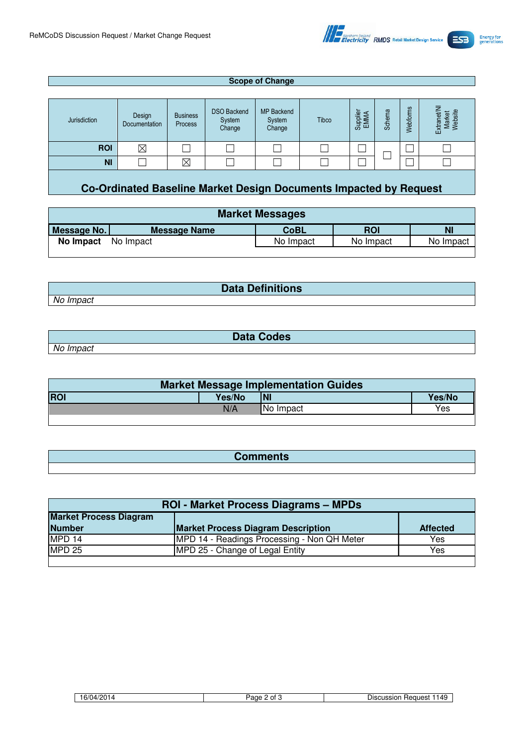

## **Scope of Change** Jurisdiction **Design** Documentation Business Process DSO Backend System Change MP Backend System Change **Tibco** Supplier EMMA Schema Webforms Extranet/NI<br>Market<br>Website ROI ⊠ □ □ □ □ □ □ □ □ ☐ ☐ NI □ │ ⊠ │ □ │ □ │ □ │ □ │ □ │ □ │ □ **Co-Ordinated Baseline Market Design Documents Impacted by Request**

| <b>Market Messages</b> |                     |             |           |           |  |
|------------------------|---------------------|-------------|-----------|-----------|--|
|                        |                     |             |           |           |  |
| Message No.            | <b>Message Name</b> | <b>CoBL</b> | ROI       | N.        |  |
| No Impact              | No Impact           | No Impact   | No Impact | No Impact |  |

**Data Definitions**

No Impact

|           | <b>Data Codes</b> |  |
|-----------|-------------------|--|
| No Impact |                   |  |

| <b>Market Message Implementation Guides</b> |        |                  |        |  |
|---------------------------------------------|--------|------------------|--------|--|
| <b>ROI</b>                                  | Yes/No | INI              | Yes/No |  |
|                                             | N/A    | <b>No Impact</b> | Yes    |  |
|                                             |        |                  |        |  |

| Commente<br>Comments |
|----------------------|
|                      |

| <b>ROI - Market Process Diagrams - MPDs</b> |                                             |                 |  |  |
|---------------------------------------------|---------------------------------------------|-----------------|--|--|
| <b>Market Process Diagram</b>               |                                             |                 |  |  |
| <b>Number</b>                               | <b>Market Process Diagram Description</b>   | <b>Affected</b> |  |  |
| MPD 14                                      | MPD 14 - Readings Processing - Non QH Meter | Yes             |  |  |
| <b>MPD 25</b>                               | MPD 25 - Change of Legal Entity             | Yes             |  |  |
|                                             |                                             |                 |  |  |

| $\epsilon$<br>14۰ ت | $\sim$<br>Οt<br>aae | Request<br>DISCUSSION<br>149 |
|---------------------|---------------------|------------------------------|